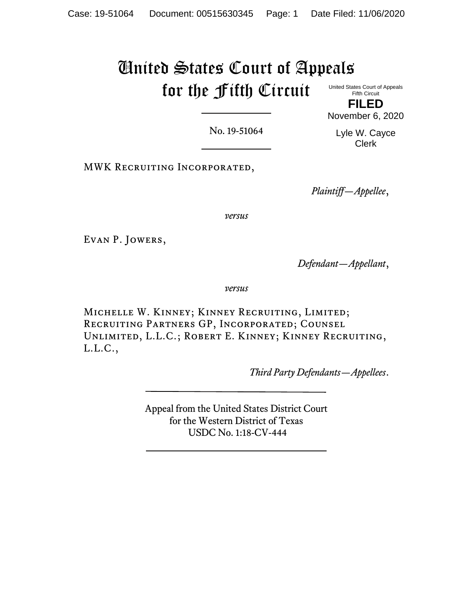# United States Court of Appeals for the Fifth Circuit United States Court of Appeals

Fifth Circuit **FILED** November 6, 2020

No. 19-51064

Lyle W. Cayce Clerk

MWK Recruiting Incorporated,

*Plaintiff—Appellee*,

*versus*

Evan P. Jowers,

*Defendant—Appellant*,

*versus*

Michelle W. Kinney; Kinney Recruiting, Limited; Recruiting Partners GP, Incorporated; Counsel Unlimited, L.L.C.; Robert E. Kinney; Kinney Recruiting, L.L.C.,

*Third Party Defendants—Appellees*.

Appeal from the United States District Court for the Western District of Texas USDC No. 1:18-CV-444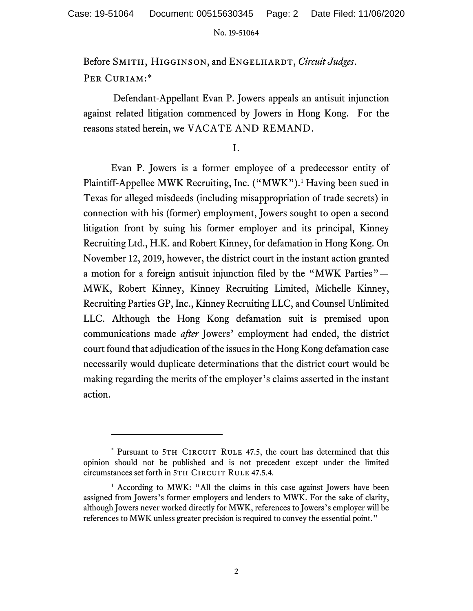Before SMITH, HIGGINSON, and ENGELHARDT, *Circuit Judges*. PER CURIAM:\*

Defendant-Appellant Evan P. Jowers appeals an antisuit injunction against related litigation commenced by Jowers in Hong Kong. For the reasons stated herein, we VACATE AND REMAND.

I.

Evan P. Jowers is a former employee of a predecessor entity of Plaintiff-Appellee MWK Recruiting, Inc. ("MWK").<sup>1</sup> Having been sued in Texas for alleged misdeeds (including misappropriation of trade secrets) in connection with his (former) employment, Jowers sought to open a second litigation front by suing his former employer and its principal, Kinney Recruiting Ltd., H.K. and Robert Kinney, for defamation in Hong Kong. On November 12, 2019, however, the district court in the instant action granted a motion for a foreign antisuit injunction filed by the "MWK Parties"— MWK, Robert Kinney, Kinney Recruiting Limited, Michelle Kinney, Recruiting Parties GP, Inc., Kinney Recruiting LLC, and Counsel Unlimited LLC. Although the Hong Kong defamation suit is premised upon communications made *after* Jowers' employment had ended, the district court found that adjudication of the issues in the Hong Kong defamation case necessarily would duplicate determinations that the district court would be making regarding the merits of the employer's claims asserted in the instant action.

<sup>\*</sup> Pursuant to 5TH CIRCUIT RULE 47.5, the court has determined that this opinion should not be published and is not precedent except under the limited circumstances set forth in 5TH CIRCUIT RULE 47.5.4.

<sup>&</sup>lt;sup>1</sup> According to MWK: "All the claims in this case against Jowers have been assigned from Jowers's former employers and lenders to MWK. For the sake of clarity, although Jowers never worked directly for MWK, references to Jowers's employer will be references to MWK unless greater precision is required to convey the essential point."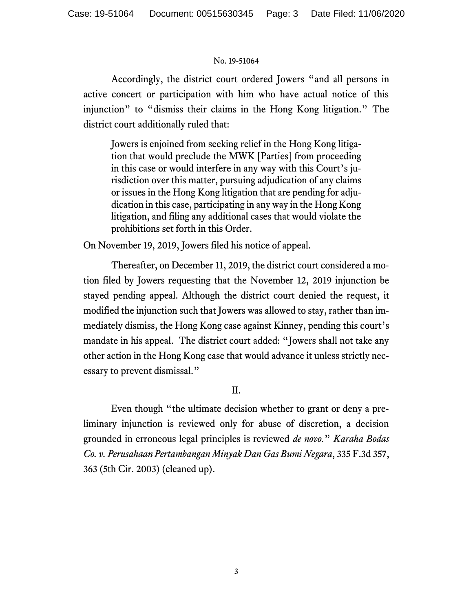Accordingly, the district court ordered Jowers "and all persons in active concert or participation with him who have actual notice of this injunction" to "dismiss their claims in the Hong Kong litigation." The district court additionally ruled that:

Jowers is enjoined from seeking relief in the Hong Kong litigation that would preclude the MWK [Parties] from proceeding in this case or would interfere in any way with this Court's jurisdiction over this matter, pursuing adjudication of any claims or issues in the Hong Kong litigation that are pending for adjudication in this case, participating in any way in the Hong Kong litigation, and filing any additional cases that would violate the prohibitions set forth in this Order.

On November 19, 2019, Jowers filed his notice of appeal.

Thereafter, on December 11, 2019, the district court considered a motion filed by Jowers requesting that the November 12, 2019 injunction be stayed pending appeal. Although the district court denied the request, it modified the injunction such that Jowers was allowed to stay, rather than immediately dismiss, the Hong Kong case against Kinney, pending this court's mandate in his appeal. The district court added: "Jowers shall not take any other action in the Hong Kong case that would advance it unless strictly necessary to prevent dismissal."

# II.

Even though "the ultimate decision whether to grant or deny a preliminary injunction is reviewed only for abuse of discretion, a decision grounded in erroneous legal principles is reviewed *de novo.*" *Karaha Bodas Co. v. Perusahaan Pertambangan Minyak Dan Gas Bumi Negara*, 335 F.3d 357, 363 (5th Cir. 2003) (cleaned up).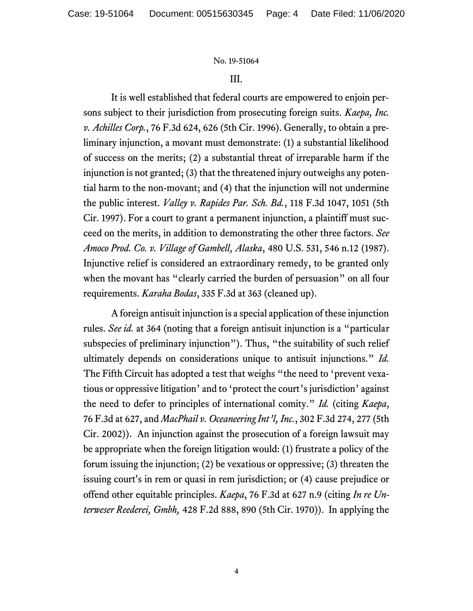## III.

It is well established that federal courts are empowered to enjoin persons subject to their jurisdiction from prosecuting foreign suits. *Kaepa, Inc. v. Achilles Corp.*, 76 F.3d 624, 626 (5th Cir. 1996). Generally, to obtain a preliminary injunction, a movant must demonstrate: (1) a substantial likelihood of success on the merits; (2) a substantial threat of irreparable harm if the injunction is not granted; (3) that the threatened injury outweighs any potential harm to the non-movant; and (4) that the injunction will not undermine the public interest. *Valley v. Rapides Par. Sch. Bd.*, 118 F.3d 1047, 1051 (5th Cir. 1997). For a court to grant a permanent injunction, a plaintiff must succeed on the merits, in addition to demonstrating the other three factors. *See Amoco Prod. Co. v. Village of Gambell, Alaska*, 480 U.S. 531, 546 n.12 (1987). Injunctive relief is considered an extraordinary remedy, to be granted only when the movant has "clearly carried the burden of persuasion" on all four requirements. *Karaha Bodas*, 335 F.3d at 363 (cleaned up).

A foreign antisuit injunction is a special application of these injunction rules. *See id.* at 364 (noting that a foreign antisuit injunction is a "particular subspecies of preliminary injunction"). Thus, "the suitability of such relief ultimately depends on considerations unique to antisuit injunctions." *Id.* The Fifth Circuit has adopted a test that weighs "the need to 'prevent vexatious or oppressive litigation' and to 'protect the court's jurisdiction' against the need to defer to principles of international comity." *Id.* (citing *Kaepa*, 76 F.3d at 627, and *MacPhail v. Oceaneering Int'l, Inc.*, 302 F.3d 274, 277 (5th Cir. 2002)). An injunction against the prosecution of a foreign lawsuit may be appropriate when the foreign litigation would: (1) frustrate a policy of the forum issuing the injunction; (2) be vexatious or oppressive; (3) threaten the issuing court's in rem or quasi in rem jurisdiction; or (4) cause prejudice or offend other equitable principles. *Kaepa*, 76 F.3d at 627 n.9 (citing *In re Unterweser Reederei, Gmbh,* 428 F.2d 888, 890 (5th Cir. 1970)). In applying the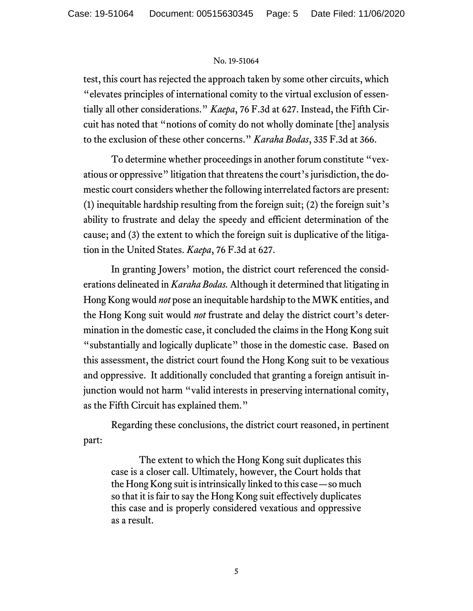test, this court has rejected the approach taken by some other circuits, which "elevates principles of international comity to the virtual exclusion of essentially all other considerations." *Kaepa*, 76 F.3d at 627. Instead, the Fifth Circuit has noted that "notions of comity do not wholly dominate [the] analysis to the exclusion of these other concerns." *Karaha Bodas*, 335 F.3d at 366.

To determine whether proceedings in another forum constitute "vexatious or oppressive" litigation that threatens the court's jurisdiction, the domestic court considers whether the following interrelated factors are present: (1) inequitable hardship resulting from the foreign suit; (2) the foreign suit's ability to frustrate and delay the speedy and efficient determination of the cause; and (3) the extent to which the foreign suit is duplicative of the litigation in the United States. *Kaepa*, 76 F.3d at 627.

In granting Jowers' motion, the district court referenced the considerations delineated in *Karaha Bodas.* Although it determined that litigating in Hong Kong would *not* pose an inequitable hardship to the MWK entities, and the Hong Kong suit would *not* frustrate and delay the district court's determination in the domestic case, it concluded the claims in the Hong Kong suit "substantially and logically duplicate" those in the domestic case. Based on this assessment, the district court found the Hong Kong suit to be vexatious and oppressive. It additionally concluded that granting a foreign antisuit injunction would not harm "valid interests in preserving international comity, as the Fifth Circuit has explained them."

Regarding these conclusions, the district court reasoned, in pertinent part:

The extent to which the Hong Kong suit duplicates this case is a closer call. Ultimately, however, the Court holds that the Hong Kong suit is intrinsically linked to this case—so much so that it is fair to say the Hong Kong suit effectively duplicates this case and is properly considered vexatious and oppressive as a result.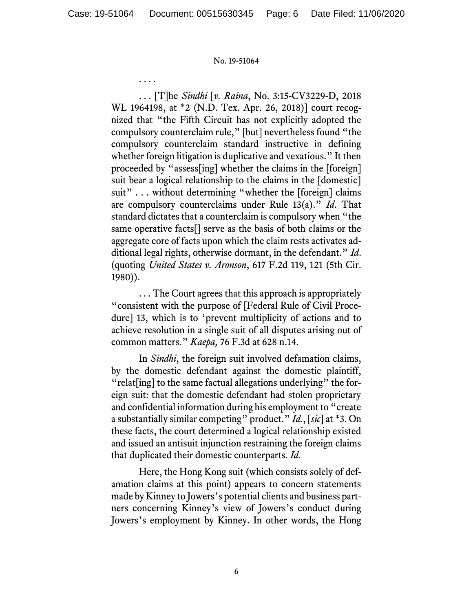. . . .

. . . [T]he *Sindhi* [*v. Raina*, No. 3:15-CV3229-D, 2018 WL 1964198, at \*2 (N.D. Tex. Apr. 26, 2018)] court recognized that "the Fifth Circuit has not explicitly adopted the compulsory counterclaim rule," [but] nevertheless found "the compulsory counterclaim standard instructive in defining whether foreign litigation is duplicative and vexatious." It then proceeded by "assess[ing] whether the claims in the [foreign] suit bear a logical relationship to the claims in the [domestic] suit" . . . without determining "whether the [foreign] claims are compulsory counterclaims under Rule 13(a)." *Id*. That standard dictates that a counterclaim is compulsory when "the same operative facts[] serve as the basis of both claims or the aggregate core of facts upon which the claim rests activates additional legal rights, otherwise dormant, in the defendant." *Id*. (quoting *United States v. Aronson*, 617 F.2d 119, 121 (5th Cir. 1980)).

. . . The Court agrees that this approach is appropriately "consistent with the purpose of [Federal Rule of Civil Procedure] 13, which is to 'prevent multiplicity of actions and to achieve resolution in a single suit of all disputes arising out of common matters." *Kaepa,* 76 F.3d at 628 n.14.

In *Sindhi*, the foreign suit involved defamation claims, by the domestic defendant against the domestic plaintiff, "relat[ing] to the same factual allegations underlying" the foreign suit: that the domestic defendant had stolen proprietary and confidential information during his employment to "create a substantially similar competing" product." *Id.*, [*sic*] at \*3. On these facts, the court determined a logical relationship existed and issued an antisuit injunction restraining the foreign claims that duplicated their domestic counterparts. *Id.*

Here, the Hong Kong suit (which consists solely of defamation claims at this point) appears to concern statements made by Kinney to Jowers's potential clients and business partners concerning Kinney's view of Jowers's conduct during Jowers's employment by Kinney. In other words, the Hong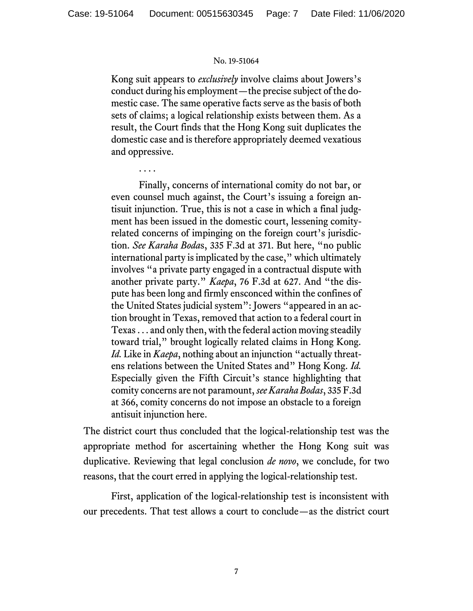Kong suit appears to *exclusively* involve claims about Jowers's conduct during his employment—the precise subject of the domestic case. The same operative facts serve as the basis of both sets of claims; a logical relationship exists between them. As a result, the Court finds that the Hong Kong suit duplicates the domestic case and is therefore appropriately deemed vexatious and oppressive.

. . . .

Finally, concerns of international comity do not bar, or even counsel much against, the Court's issuing a foreign antisuit injunction. True, this is not a case in which a final judgment has been issued in the domestic court, lessening comityrelated concerns of impinging on the foreign court's jurisdiction. *See Karaha Boda*s, 335 F.3d at 371. But here, "no public international party is implicated by the case," which ultimately involves "a private party engaged in a contractual dispute with another private party." *Kaepa*, 76 F.3d at 627. And "the dispute has been long and firmly ensconced within the confines of the United States judicial system": Jowers "appeared in an action brought in Texas, removed that action to a federal court in Texas . . . and only then, with the federal action moving steadily toward trial," brought logically related claims in Hong Kong. *Id.* Like in *Kaepa*, nothing about an injunction "actually threatens relations between the United States and" Hong Kong. *Id.*  Especially given the Fifth Circuit's stance highlighting that comity concerns are not paramount, *see Karaha Bodas*, 335 F.3d at 366, comity concerns do not impose an obstacle to a foreign antisuit injunction here.

The district court thus concluded that the logical-relationship test was the appropriate method for ascertaining whether the Hong Kong suit was duplicative. Reviewing that legal conclusion *de novo*, we conclude, for two reasons, that the court erred in applying the logical-relationship test.

First, application of the logical-relationship test is inconsistent with our precedents. That test allows a court to conclude—as the district court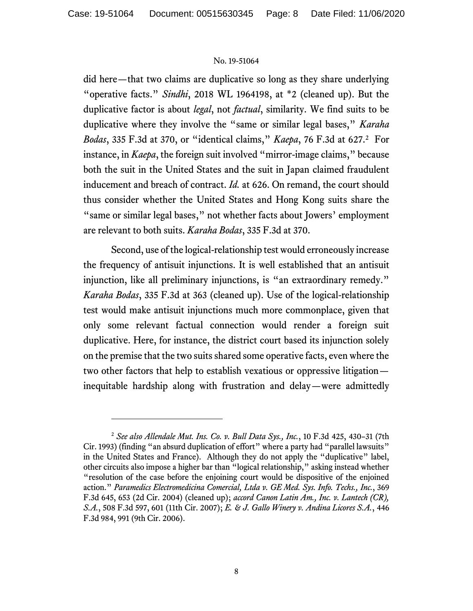did here—that two claims are duplicative so long as they share underlying "operative facts." *Sindhi*, 2018 WL 1964198, at \*2 (cleaned up). But the duplicative factor is about *legal*, not *factual*, similarity. We find suits to be duplicative where they involve the "same or similar legal bases," *Karaha Bodas*, 335 F.3d at 370, or "identical claims," *Kaepa*, 76 F.3d at 627.<sup>2</sup> For instance, in *Kaepa*, the foreign suit involved "mirror-image claims," because both the suit in the United States and the suit in Japan claimed fraudulent inducement and breach of contract. *Id.* at 626. On remand, the court should thus consider whether the United States and Hong Kong suits share the "same or similar legal bases," not whether facts about Jowers' employment are relevant to both suits. *Karaha Bodas*, 335 F.3d at 370.

Second, use of the logical-relationship test would erroneously increase the frequency of antisuit injunctions. It is well established that an antisuit injunction, like all preliminary injunctions, is "an extraordinary remedy." *Karaha Bodas*, 335 F.3d at 363 (cleaned up). Use of the logical-relationship test would make antisuit injunctions much more commonplace, given that only some relevant factual connection would render a foreign suit duplicative. Here, for instance, the district court based its injunction solely on the premise that the two suits shared some operative facts, even where the two other factors that help to establish vexatious or oppressive litigation inequitable hardship along with frustration and delay—were admittedly

<sup>2</sup> *See also Allendale Mut. Ins. Co. v. Bull Data Sys., Inc.*, 10 F.3d 425, 430–31 (7th Cir. 1993) (finding "an absurd duplication of effort" where a party had "parallel lawsuits" in the United States and France). Although they do not apply the "duplicative" label, other circuits also impose a higher bar than "logical relationship," asking instead whether "resolution of the case before the enjoining court would be dispositive of the enjoined action." *Paramedics Electromedicina Comercial, Ltda v. GE Med. Sys. Info. Techs., Inc.*, 369 F.3d 645, 653 (2d Cir. 2004) (cleaned up); *accord Canon Latin Am., Inc. v. Lantech (CR), S.A.*, 508 F.3d 597, 601 (11th Cir. 2007); *E. & J. Gallo Winery v. Andina Licores S.A.*, 446 F.3d 984, 991 (9th Cir. 2006).